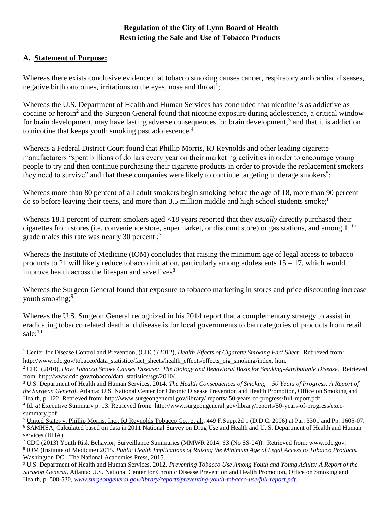## **Regulation of the City of Lynn Board of Health Restricting the Sale and Use of Tobacco Products**

#### **A. Statement of Purpose:**

l

Whereas there exists conclusive evidence that tobacco smoking causes cancer, respiratory and cardiac diseases, negative birth outcomes, irritations to the eyes, nose and throat<sup>1</sup>;

Whereas the U.S. Department of Health and Human Services has concluded that nicotine is as addictive as cocaine or heroin<sup>2</sup> and the Surgeon General found that nicotine exposure during adolescence, a critical window for brain development, may have lasting adverse consequences for brain development,<sup>3</sup> and that it is addiction to nicotine that keeps youth smoking past adolescence.<sup>4</sup>

Whereas a Federal District Court found that Phillip Morris, RJ Reynolds and other leading cigarette manufacturers "spent billions of dollars every year on their marketing activities in order to encourage young people to try and then continue purchasing their cigarette products in order to provide the replacement smokers they need to survive" and that these companies were likely to continue targeting underage smokers<sup>5</sup>;

Whereas more than 80 percent of all adult smokers begin smoking before the age of 18, more than 90 percent do so before leaving their teens, and more than 3.5 million middle and high school students smoke;<sup>6</sup>

Whereas 18.1 percent of current smokers aged <18 years reported that they *usually* directly purchased their cigarettes from stores (i.e. convenience store, supermarket, or discount store) or gas stations, and among  $11<sup>th</sup>$ grade males this rate was nearly 30 percent;<sup>7</sup>

Whereas the Institute of Medicine (IOM) concludes that raising the minimum age of legal access to tobacco products to 21 will likely reduce tobacco initiation, particularly among adolescents  $15 - 17$ , which would improve health across the lifespan and save lives $8$ .

Whereas the Surgeon General found that exposure to tobacco marketing in stores and price discounting increase youth smoking;<sup>9</sup>

Whereas the U.S. Surgeon General recognized in his 2014 report that a complementary strategy to assist in eradicating tobacco related death and disease is for local governments to ban categories of products from retail sale;<sup>10</sup>

<sup>&</sup>lt;sup>1</sup> Center for Disease Control and Prevention, (CDC) (2012), *Health Effects of Cigarette Smoking Fact Sheet.* Retrieved from: http://www.cdc.gov/tobacco/data\_statistice/fact\_sheets/health\_effects/effects\_cig\_smoking/index. htm.

<sup>2</sup> CDC (2010), *How Tobacco Smoke Causes Disease: The Biology and Behavioral Basis for Smoking-Attributable Disease.* Retrieved from: http://www.cdc.gov/tobacco/data\_statistics/sgr/2010/.

<sup>3</sup> U.S. Department of Health and Human Services. 2014. *The Health Consequences of Smoking – 50 Years of Progress: A Report of the Surgeon General*. Atlanta: U.S. National Center for Chronic Disease Prevention and Health Promotion, Office on Smoking and Health, p. 122. Retrieved from: http://www.surgeongeneral.gov/library/ reports/ 50-years-of-progress/full-report.pdf. <sup>4</sup> Id. *at* Executive Summary p. 13. Retrieved from: http://www.surgeongeneral.gov/library/reports/50-years-of-progress/execsummary.pdf

<sup>5</sup> United States v. Phillip Morris, Inc., RJ Reynolds Tobacco Co., et al., 449 F.Supp.2d 1 (D.D.C. 2006) at Par. 3301 and Pp. 1605-07. <sup>6</sup> SAMHSA, Calculated based on data in 2011 National Survey on Drug Use and Health and U. S. Department of Health and Human services (HHA).

<sup>7</sup> CDC (2013) Youth Risk Behavior, Surveillance Summaries (MMWR 2014: 63 (No SS-04)). Retrieved from: www.cdc.gov.

<sup>8</sup> IOM (Institute of Medicine) 2015. *Public Health Implications of Raising the Minimum Age of Legal Access to Tobacco Products.*  Washington DC: The National Academies Press, 2015.

<sup>9</sup> U.S. Department of Health and Human Services. 2012. *Preventing Tobacco Use Among Youth and Young Adults: A Report of the Surgeon General*. Atlanta: U.S. National Center for Chronic Disease Prevention and Health Promotion, Office on Smoking and Health, p. 508-530, *[www.surgeongeneral.gov/library/reports/preventing-youth-tobacco-use/full-report.pdf](http://www.surgeongeneral.gov/library/reports/preventing-youth-tobacco-use/full-report.pdf)*.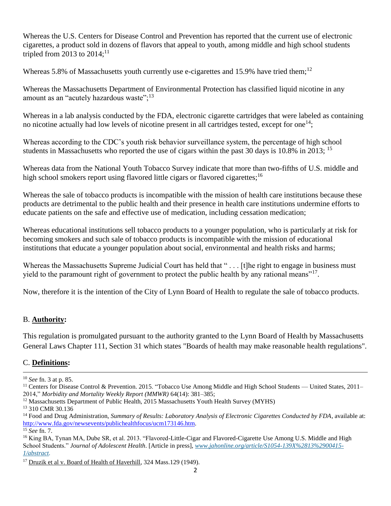Whereas the U.S. Centers for Disease Control and Prevention has reported that the current use of electronic cigarettes, a product sold in dozens of flavors that appeal to youth, among middle and high school students tripled from 2013 to  $2014$ ;<sup>11</sup>

Whereas 5.8% of Massachusetts youth currently use e-cigarettes and 15.9% have tried them;<sup>12</sup>

Whereas the Massachusetts Department of Environmental Protection has classified liquid nicotine in any amount as an "acutely hazardous waste"; $^{13}$ 

Whereas in a lab analysis conducted by the FDA, electronic cigarette cartridges that were labeled as containing no nicotine actually had low levels of nicotine present in all cartridges tested, except for one<sup>14</sup>;

Whereas according to the CDC's youth risk behavior surveillance system, the percentage of high school students in Massachusetts who reported the use of cigars within the past 30 days is 10.8% in 2013;  $^{15}$ 

Whereas data from the National Youth Tobacco Survey indicate that more than two-fifths of U.S. middle and high school smokers report using flavored little cigars or flavored cigarettes;<sup>16</sup>

Whereas the sale of tobacco products is incompatible with the mission of health care institutions because these products are detrimental to the public health and their presence in health care institutions undermine efforts to educate patients on the safe and effective use of medication, including cessation medication;

Whereas educational institutions sell tobacco products to a younger population, who is particularly at risk for becoming smokers and such sale of tobacco products is incompatible with the mission of educational institutions that educate a younger population about social, environmental and health risks and harms;

Whereas the Massachusetts Supreme Judicial Court has held that "... [t]he right to engage in business must yield to the paramount right of government to protect the public health by any rational means"<sup>17</sup>.

Now, therefore it is the intention of the City of Lynn Board of Health to regulate the sale of tobacco products.

### B. **Authority:**

This regulation is promulgated pursuant to the authority granted to the Lynn Board of Health by Massachusetts General Laws Chapter 111, Section 31 which states "Boards of health may make reasonable health regulations".

### C. **Definitions:**

 $\overline{\phantom{a}}$ <sup>10</sup> *See* fn. 3 at p. 85.

<sup>&</sup>lt;sup>11</sup> Centers for Disease Control & Prevention. 2015. "Tobacco Use Among Middle and High School Students — United States, 2011-2014," *Morbidity and Mortality Weekly Report (MMWR)* 64(14): 381–385;

 $12$  Massachusetts Department of Public Health, 2015 Massachusetts Youth Health Survey (MYHS)

<sup>&</sup>lt;sup>13</sup> 310 CMR 30.136

<sup>14</sup> Food and Drug Administration, *Summary of Results: Laboratory Analysis of Electronic Cigarettes Conducted by FDA*, available at: [http://www.fda.gov/newsevents/publichealthfocus/ucm173146.htm.](http://www.fda.gov/newsevents/publichealthfocus/ucm173146.htm)

<sup>15</sup> *See* fn. 7.

<sup>&</sup>lt;sup>16</sup> King BA, Tynan MA, Dube SR, et al. 2013. "Flavored-Little-Cigar and Flavored-Cigarette Use Among U.S. Middle and High School Students." *Journal of Adolescent Health*. [Article in press], *[www.jahonline.org/article/S1054-139X%2813%2900415-](http://www.jahonline.org/article/S1054-139X%2813%2900415-1/abstract) [1/abstract.](http://www.jahonline.org/article/S1054-139X%2813%2900415-1/abstract)*

<sup>&</sup>lt;sup>17</sup> Druzik et al v. Board of Health of Haverhill, 324 Mass.129 (1949).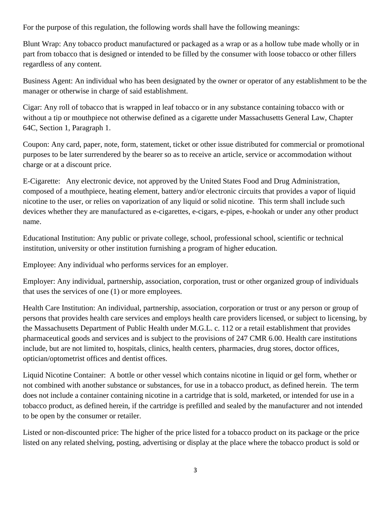For the purpose of this regulation, the following words shall have the following meanings:

Blunt Wrap: Any tobacco product manufactured or packaged as a wrap or as a hollow tube made wholly or in part from tobacco that is designed or intended to be filled by the consumer with loose tobacco or other fillers regardless of any content.

Business Agent: An individual who has been designated by the owner or operator of any establishment to be the manager or otherwise in charge of said establishment.

Cigar: Any roll of tobacco that is wrapped in leaf tobacco or in any substance containing tobacco with or without a tip or mouthpiece not otherwise defined as a cigarette under Massachusetts General Law, Chapter 64C, Section 1, Paragraph 1.

Coupon: Any card, paper, note, form, statement, ticket or other issue distributed for commercial or promotional purposes to be later surrendered by the bearer so as to receive an article, service or accommodation without charge or at a discount price.

E-Cigarette: Any electronic device, not approved by the United States Food and Drug Administration, composed of a mouthpiece, heating element, battery and/or electronic circuits that provides a vapor of liquid nicotine to the user, or relies on vaporization of any liquid or solid nicotine. This term shall include such devices whether they are manufactured as e-cigarettes, e-cigars, e-pipes, e-hookah or under any other product name.

Educational Institution: Any public or private college, school, professional school, scientific or technical institution, university or other institution furnishing a program of higher education.

Employee: Any individual who performs services for an employer.

Employer: Any individual, partnership, association, corporation, trust or other organized group of individuals that uses the services of one (1) or more employees.

Health Care Institution: An individual, partnership, association, corporation or trust or any person or group of persons that provides health care services and employs health care providers licensed, or subject to licensing, by the Massachusetts Department of Public Health under M.G.L. c. 112 or a retail establishment that provides pharmaceutical goods and services and is subject to the provisions of 247 CMR 6.00. Health care institutions include, but are not limited to, hospitals, clinics, health centers, pharmacies, drug stores, doctor offices, optician/optometrist offices and dentist offices.

Liquid Nicotine Container: A bottle or other vessel which contains nicotine in liquid or gel form, whether or not combined with another substance or substances, for use in a tobacco product, as defined herein. The term does not include a container containing nicotine in a cartridge that is sold, marketed, or intended for use in a tobacco product, as defined herein, if the cartridge is prefilled and sealed by the manufacturer and not intended to be open by the consumer or retailer.

Listed or non-discounted price: The higher of the price listed for a tobacco product on its package or the price listed on any related shelving, posting, advertising or display at the place where the tobacco product is sold or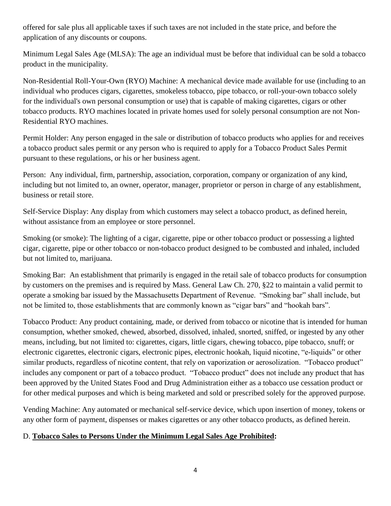offered for sale plus all applicable taxes if such taxes are not included in the state price, and before the application of any discounts or coupons.

Minimum Legal Sales Age (MLSA): The age an individual must be before that individual can be sold a tobacco product in the municipality.

Non-Residential Roll-Your-Own (RYO) Machine: A mechanical device made available for use (including to an individual who produces cigars, cigarettes, smokeless tobacco, pipe tobacco, or roll-your-own tobacco solely for the individual's own personal consumption or use) that is capable of making cigarettes, cigars or other tobacco products. RYO machines located in private homes used for solely personal consumption are not Non-Residential RYO machines.

Permit Holder: Any person engaged in the sale or distribution of tobacco products who applies for and receives a tobacco product sales permit or any person who is required to apply for a Tobacco Product Sales Permit pursuant to these regulations, or his or her business agent.

Person: Any individual, firm, partnership, association, corporation, company or organization of any kind, including but not limited to, an owner, operator, manager, proprietor or person in charge of any establishment, business or retail store.

Self-Service Display: Any display from which customers may select a tobacco product, as defined herein, without assistance from an employee or store personnel.

Smoking (or smoke): The lighting of a cigar, cigarette, pipe or other tobacco product or possessing a lighted cigar, cigarette, pipe or other tobacco or non-tobacco product designed to be combusted and inhaled, included but not limited to, marijuana.

Smoking Bar: An establishment that primarily is engaged in the retail sale of tobacco products for consumption by customers on the premises and is required by Mass. General Law Ch. 270, §22 to maintain a valid permit to operate a smoking bar issued by the Massachusetts Department of Revenue. "Smoking bar" shall include, but not be limited to, those establishments that are commonly known as "cigar bars" and "hookah bars".

Tobacco Product: Any product containing, made, or derived from tobacco or nicotine that is intended for human consumption, whether smoked, chewed, absorbed, dissolved, inhaled, snorted, sniffed, or ingested by any other means, including, but not limited to: cigarettes, cigars, little cigars, chewing tobacco, pipe tobacco, snuff; or electronic cigarettes, electronic cigars, electronic pipes, electronic hookah, liquid nicotine, "e-liquids" or other similar products, regardless of nicotine content, that rely on vaporization or aerosolization. "Tobacco product" includes any component or part of a tobacco product. "Tobacco product" does not include any product that has been approved by the United States Food and Drug Administration either as a tobacco use cessation product or for other medical purposes and which is being marketed and sold or prescribed solely for the approved purpose.

Vending Machine: Any automated or mechanical self-service device, which upon insertion of money, tokens or any other form of payment, dispenses or makes cigarettes or any other tobacco products, as defined herein.

### D. **Tobacco Sales to Persons Under the Minimum Legal Sales Age Prohibited:**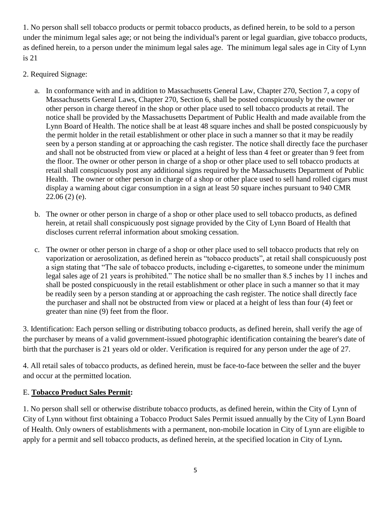1. No person shall sell tobacco products or permit tobacco products, as defined herein, to be sold to a person under the minimum legal sales age; or not being the individual's parent or legal guardian, give tobacco products, as defined herein, to a person under the minimum legal sales age. The minimum legal sales age in City of Lynn is 21

- 2. Required Signage:
	- a. In conformance with and in addition to Massachusetts General Law, Chapter 270, Section 7, a copy of Massachusetts General Laws, Chapter 270, Section 6, shall be posted conspicuously by the owner or other person in charge thereof in the shop or other place used to sell tobacco products at retail. The notice shall be provided by the Massachusetts Department of Public Health and made available from the Lynn Board of Health. The notice shall be at least 48 square inches and shall be posted conspicuously by the permit holder in the retail establishment or other place in such a manner so that it may be readily seen by a person standing at or approaching the cash register. The notice shall directly face the purchaser and shall not be obstructed from view or placed at a height of less than 4 feet or greater than 9 feet from the floor. The owner or other person in charge of a shop or other place used to sell tobacco products at retail shall conspicuously post any additional signs required by the Massachusetts Department of Public Health. The owner or other person in charge of a shop or other place used to sell hand rolled cigars must display a warning about cigar consumption in a sign at least 50 square inches pursuant to 940 CMR  $22.06(2)(e)$ .
	- b. The owner or other person in charge of a shop or other place used to sell tobacco products, as defined herein, at retail shall conspicuously post signage provided by the City of Lynn Board of Health that discloses current referral information about smoking cessation.
	- c. The owner or other person in charge of a shop or other place used to sell tobacco products that rely on vaporization or aerosolization, as defined herein as "tobacco products", at retail shall conspicuously post a sign stating that "The sale of tobacco products, including e-cigarettes, to someone under the minimum legal sales age of 21 years is prohibited." The notice shall be no smaller than 8.5 inches by 11 inches and shall be posted conspicuously in the retail establishment or other place in such a manner so that it may be readily seen by a person standing at or approaching the cash register. The notice shall directly face the purchaser and shall not be obstructed from view or placed at a height of less than four (4) feet or greater than nine (9) feet from the floor.

3. Identification: Each person selling or distributing tobacco products, as defined herein, shall verify the age of the purchaser by means of a valid government-issued photographic identification containing the bearer's date of birth that the purchaser is 21 years old or older. Verification is required for any person under the age of 27.

4. All retail sales of tobacco products, as defined herein, must be face-to-face between the seller and the buyer and occur at the permitted location.

### E. **Tobacco Product Sales Permit:**

1. No person shall sell or otherwise distribute tobacco products, as defined herein, within the City of Lynn of City of Lynn without first obtaining a Tobacco Product Sales Permit issued annually by the City of Lynn Board of Health. Only owners of establishments with a permanent, non-mobile location in City of Lynn are eligible to apply for a permit and sell tobacco products, as defined herein, at the specified location in City of Lynn**.**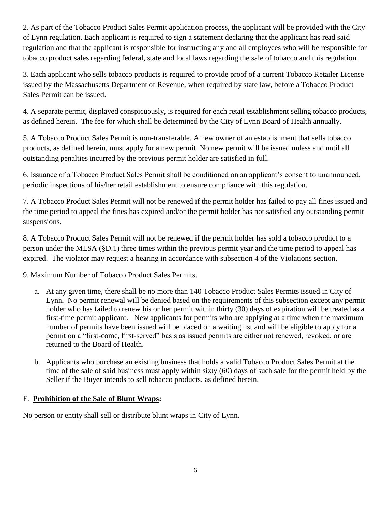2. As part of the Tobacco Product Sales Permit application process, the applicant will be provided with the City of Lynn regulation. Each applicant is required to sign a statement declaring that the applicant has read said regulation and that the applicant is responsible for instructing any and all employees who will be responsible for tobacco product sales regarding federal, state and local laws regarding the sale of tobacco and this regulation.

3. Each applicant who sells tobacco products is required to provide proof of a current Tobacco Retailer License issued by the Massachusetts Department of Revenue, when required by state law, before a Tobacco Product Sales Permit can be issued.

4. A separate permit, displayed conspicuously, is required for each retail establishment selling tobacco products, as defined herein. The fee for which shall be determined by the City of Lynn Board of Health annually.

5. A Tobacco Product Sales Permit is non-transferable. A new owner of an establishment that sells tobacco products, as defined herein, must apply for a new permit. No new permit will be issued unless and until all outstanding penalties incurred by the previous permit holder are satisfied in full.

6. Issuance of a Tobacco Product Sales Permit shall be conditioned on an applicant's consent to unannounced, periodic inspections of his/her retail establishment to ensure compliance with this regulation.

7. A Tobacco Product Sales Permit will not be renewed if the permit holder has failed to pay all fines issued and the time period to appeal the fines has expired and/or the permit holder has not satisfied any outstanding permit suspensions.

8. A Tobacco Product Sales Permit will not be renewed if the permit holder has sold a tobacco product to a person under the MLSA (§D.1) three times within the previous permit year and the time period to appeal has expired. The violator may request a hearing in accordance with subsection 4 of the Violations section.

9. Maximum Number of Tobacco Product Sales Permits.

- a. At any given time, there shall be no more than 140 Tobacco Product Sales Permits issued in City of Lynn**.** No permit renewal will be denied based on the requirements of this subsection except any permit holder who has failed to renew his or her permit within thirty (30) days of expiration will be treated as a first-time permit applicant. New applicants for permits who are applying at a time when the maximum number of permits have been issued will be placed on a waiting list and will be eligible to apply for a permit on a "first-come, first-served" basis as issued permits are either not renewed, revoked, or are returned to the Board of Health.
- b. Applicants who purchase an existing business that holds a valid Tobacco Product Sales Permit at the time of the sale of said business must apply within sixty (60) days of such sale for the permit held by the Seller if the Buyer intends to sell tobacco products, as defined herein.

#### F. **Prohibition of the Sale of Blunt Wraps:**

No person or entity shall sell or distribute blunt wraps in City of Lynn.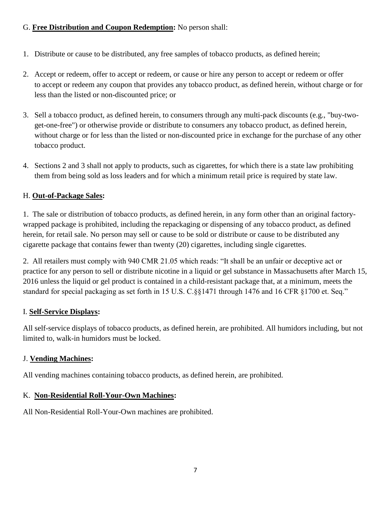# G. **Free Distribution and Coupon Redemption:** No person shall:

- 1. Distribute or cause to be distributed, any free samples of tobacco products, as defined herein;
- 2. Accept or redeem, offer to accept or redeem, or cause or hire any person to accept or redeem or offer to accept or redeem any coupon that provides any tobacco product, as defined herein, without charge or for less than the listed or non-discounted price; or
- 3. Sell a tobacco product, as defined herein, to consumers through any multi-pack discounts (e.g., "buy-twoget-one-free") or otherwise provide or distribute to consumers any tobacco product, as defined herein, without charge or for less than the listed or non-discounted price in exchange for the purchase of any other tobacco product.
- 4. Sections 2 and 3 shall not apply to products, such as cigarettes, for which there is a state law prohibiting them from being sold as loss leaders and for which a minimum retail price is required by state law.

# H. **Out-of-Package Sales:**

1. The sale or distribution of tobacco products, as defined herein, in any form other than an original factorywrapped package is prohibited, including the repackaging or dispensing of any tobacco product, as defined herein, for retail sale. No person may sell or cause to be sold or distribute or cause to be distributed any cigarette package that contains fewer than twenty (20) cigarettes, including single cigarettes.

2. All retailers must comply with 940 CMR 21.05 which reads: "It shall be an unfair or deceptive act or practice for any person to sell or distribute nicotine in a liquid or gel substance in Massachusetts after March 15, 2016 unless the liquid or gel product is contained in a child-resistant package that, at a minimum, meets the standard for special packaging as set forth in 15 U.S. C.§§1471 through 1476 and 16 CFR §1700 et. Seq."

### I. **Self-Service Displays:**

All self-service displays of tobacco products, as defined herein, are prohibited. All humidors including, but not limited to, walk-in humidors must be locked.

### J. **Vending Machines:**

All vending machines containing tobacco products, as defined herein, are prohibited.

### K. **Non-Residential Roll-Your-Own Machines:**

All Non-Residential Roll-Your-Own machines are prohibited.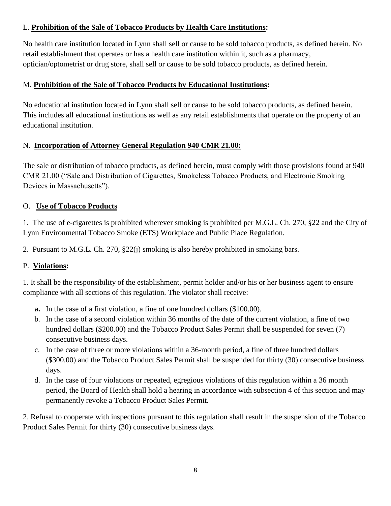## L. **Prohibition of the Sale of Tobacco Products by Health Care Institutions:**

No health care institution located in Lynn shall sell or cause to be sold tobacco products, as defined herein. No retail establishment that operates or has a health care institution within it, such as a pharmacy, optician/optometrist or drug store, shall sell or cause to be sold tobacco products, as defined herein.

## M. **Prohibition of the Sale of Tobacco Products by Educational Institutions:**

No educational institution located in Lynn shall sell or cause to be sold tobacco products, as defined herein. This includes all educational institutions as well as any retail establishments that operate on the property of an educational institution.

# N. **Incorporation of Attorney General Regulation 940 CMR 21.00:**

The sale or distribution of tobacco products, as defined herein, must comply with those provisions found at 940 CMR 21.00 ("Sale and Distribution of Cigarettes, Smokeless Tobacco Products, and Electronic Smoking Devices in Massachusetts").

# O. **Use of Tobacco Products**

1. The use of e-cigarettes is prohibited wherever smoking is prohibited per M.G.L. Ch. 270, §22 and the City of Lynn Environmental Tobacco Smoke (ETS) Workplace and Public Place Regulation.

2. Pursuant to M.G.L. Ch. 270, §22(j) smoking is also hereby prohibited in smoking bars.

# P. **Violations:**

1. It shall be the responsibility of the establishment, permit holder and/or his or her business agent to ensure compliance with all sections of this regulation. The violator shall receive:

- **a.** In the case of a first violation, a fine of one hundred dollars (\$100.00).
- b. In the case of a second violation within 36 months of the date of the current violation, a fine of two hundred dollars (\$200.00) and the Tobacco Product Sales Permit shall be suspended for seven (7) consecutive business days.
- c. In the case of three or more violations within a 36-month period, a fine of three hundred dollars (\$300.00) and the Tobacco Product Sales Permit shall be suspended for thirty (30) consecutive business days.
- d. In the case of four violations or repeated, egregious violations of this regulation within a 36 month period, the Board of Health shall hold a hearing in accordance with subsection 4 of this section and may permanently revoke a Tobacco Product Sales Permit.

2. Refusal to cooperate with inspections pursuant to this regulation shall result in the suspension of the Tobacco Product Sales Permit for thirty (30) consecutive business days.